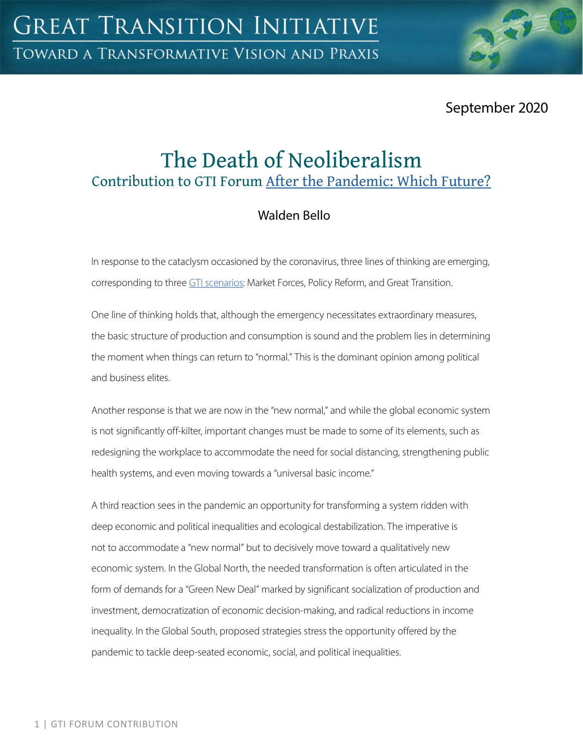September 2020

# The Death of Neoliberalism Contribution to GTI Forum [After the Pandemic: Which Future?](https://greattransition.org/gti-forum/after-the-pandemic-which-future-1)

# Walden Bello

In response to the cataclysm occasioned by the coronavirus, three lines of thinking are emerging, corresponding to three [GTI scenarios](https://greattransition.org/explore/scenarios): Market Forces, Policy Reform, and Great Transition.

One line of thinking holds that, although the emergency necessitates extraordinary measures, the basic structure of production and consumption is sound and the problem lies in determining the moment when things can return to "normal." This is the dominant opinion among political and business elites.

Another response is that we are now in the "new normal," and while the global economic system is not significantly off-kilter, important changes must be made to some of its elements, such as redesigning the workplace to accommodate the need for social distancing, strengthening public health systems, and even moving towards a "universal basic income."

A third reaction sees in the pandemic an opportunity for transforming a system ridden with deep economic and political inequalities and ecological destabilization. The imperative is not to accommodate a "new normal" but to decisively move toward a qualitatively new economic system. In the Global North, the needed transformation is often articulated in the form of demands for a "Green New Deal" marked by significant socialization of production and investment, democratization of economic decision-making, and radical reductions in income inequality. In the Global South, proposed strategies stress the opportunity offered by the pandemic to tackle deep-seated economic, social, and political inequalities.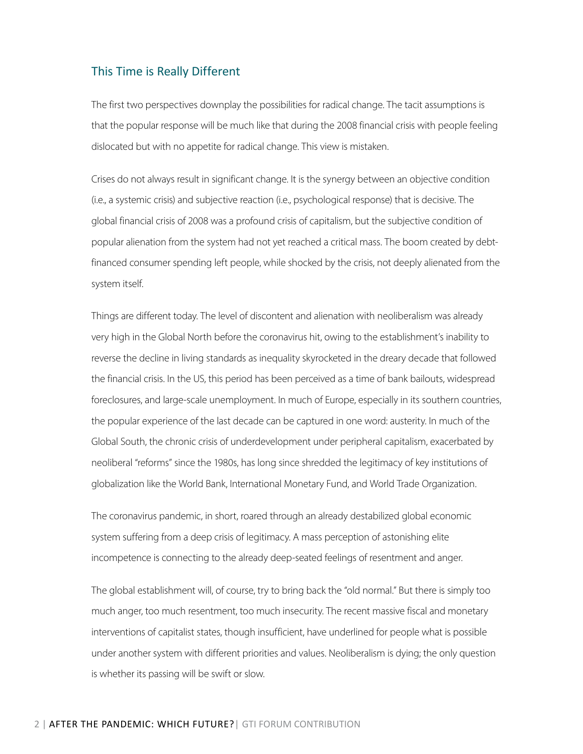#### This Time is Really Different

The first two perspectives downplay the possibilities for radical change. The tacit assumptions is that the popular response will be much like that during the 2008 financial crisis with people feeling dislocated but with no appetite for radical change. This view is mistaken.

Crises do not always result in significant change. It is the synergy between an objective condition (i.e., a systemic crisis) and subjective reaction (i.e., psychological response) that is decisive. The global financial crisis of 2008 was a profound crisis of capitalism, but the subjective condition of popular alienation from the system had not yet reached a critical mass. The boom created by debtfinanced consumer spending left people, while shocked by the crisis, not deeply alienated from the system itself.

Things are different today. The level of discontent and alienation with neoliberalism was already very high in the Global North before the coronavirus hit, owing to the establishment's inability to reverse the decline in living standards as inequality skyrocketed in the dreary decade that followed the financial crisis. In the US, this period has been perceived as a time of bank bailouts, widespread foreclosures, and large-scale unemployment. In much of Europe, especially in its southern countries, the popular experience of the last decade can be captured in one word: austerity. In much of the Global South, the chronic crisis of underdevelopment under peripheral capitalism, exacerbated by neoliberal "reforms" since the 1980s, has long since shredded the legitimacy of key institutions of globalization like the World Bank, International Monetary Fund, and World Trade Organization.

The coronavirus pandemic, in short, roared through an already destabilized global economic system suffering from a deep crisis of legitimacy. A mass perception of astonishing elite incompetence is connecting to the already deep-seated feelings of resentment and anger.

The global establishment will, of course, try to bring back the "old normal." But there is simply too much anger, too much resentment, too much insecurity. The recent massive fiscal and monetary interventions of capitalist states, though insufficient, have underlined for people what is possible under another system with different priorities and values. Neoliberalism is dying; the only question is whether its passing will be swift or slow.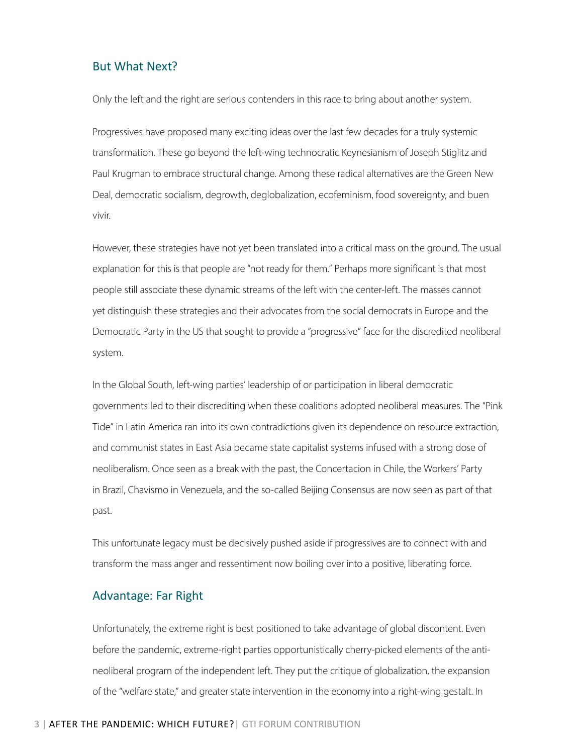#### But What Next?

Only the left and the right are serious contenders in this race to bring about another system.

Progressives have proposed many exciting ideas over the last few decades for a truly systemic transformation. These go beyond the left-wing technocratic Keynesianism of Joseph Stiglitz and Paul Krugman to embrace structural change. Among these radical alternatives are the Green New Deal, democratic socialism, degrowth, deglobalization, ecofeminism, food sovereignty, and buen vivir.

However, these strategies have not yet been translated into a critical mass on the ground. The usual explanation for this is that people are "not ready for them." Perhaps more significant is that most people still associate these dynamic streams of the left with the center-left. The masses cannot yet distinguish these strategies and their advocates from the social democrats in Europe and the Democratic Party in the US that sought to provide a "progressive" face for the discredited neoliberal system.

In the Global South, left-wing parties' leadership of or participation in liberal democratic governments led to their discrediting when these coalitions adopted neoliberal measures. The "Pink Tide" in Latin America ran into its own contradictions given its dependence on resource extraction, and communist states in East Asia became state capitalist systems infused with a strong dose of neoliberalism. Once seen as a break with the past, the Concertacion in Chile, the Workers' Party in Brazil, Chavismo in Venezuela, and the so-called Beijing Consensus are now seen as part of that past.

This unfortunate legacy must be decisively pushed aside if progressives are to connect with and transform the mass anger and ressentiment now boiling over into a positive, liberating force.

#### Advantage: Far Right

Unfortunately, the extreme right is best positioned to take advantage of global discontent. Even before the pandemic, extreme-right parties opportunistically cherry-picked elements of the antineoliberal program of the independent left. They put the critique of globalization, the expansion of the "welfare state," and greater state intervention in the economy into a right-wing gestalt. In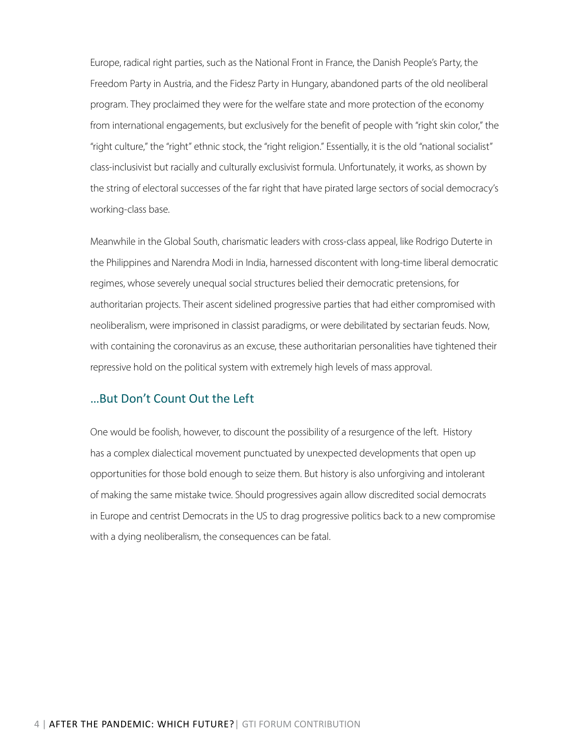Europe, radical right parties, such as the National Front in France, the Danish People's Party, the Freedom Party in Austria, and the Fidesz Party in Hungary, abandoned parts of the old neoliberal program. They proclaimed they were for the welfare state and more protection of the economy from international engagements, but exclusively for the benefit of people with "right skin color," the "right culture," the "right" ethnic stock, the "right religion." Essentially, it is the old "national socialist" class-inclusivist but racially and culturally exclusivist formula. Unfortunately, it works, as shown by the string of electoral successes of the far right that have pirated large sectors of social democracy's working-class base.

Meanwhile in the Global South, charismatic leaders with cross-class appeal, like Rodrigo Duterte in the Philippines and Narendra Modi in India, harnessed discontent with long-time liberal democratic regimes, whose severely unequal social structures belied their democratic pretensions, for authoritarian projects. Their ascent sidelined progressive parties that had either compromised with neoliberalism, were imprisoned in classist paradigms, or were debilitated by sectarian feuds. Now, with containing the coronavirus as an excuse, these authoritarian personalities have tightened their repressive hold on the political system with extremely high levels of mass approval.

### …But Don't Count Out the Left

One would be foolish, however, to discount the possibility of a resurgence of the left. History has a complex dialectical movement punctuated by unexpected developments that open up opportunities for those bold enough to seize them. But history is also unforgiving and intolerant of making the same mistake twice. Should progressives again allow discredited social democrats in Europe and centrist Democrats in the US to drag progressive politics back to a new compromise with a dying neoliberalism, the consequences can be fatal.